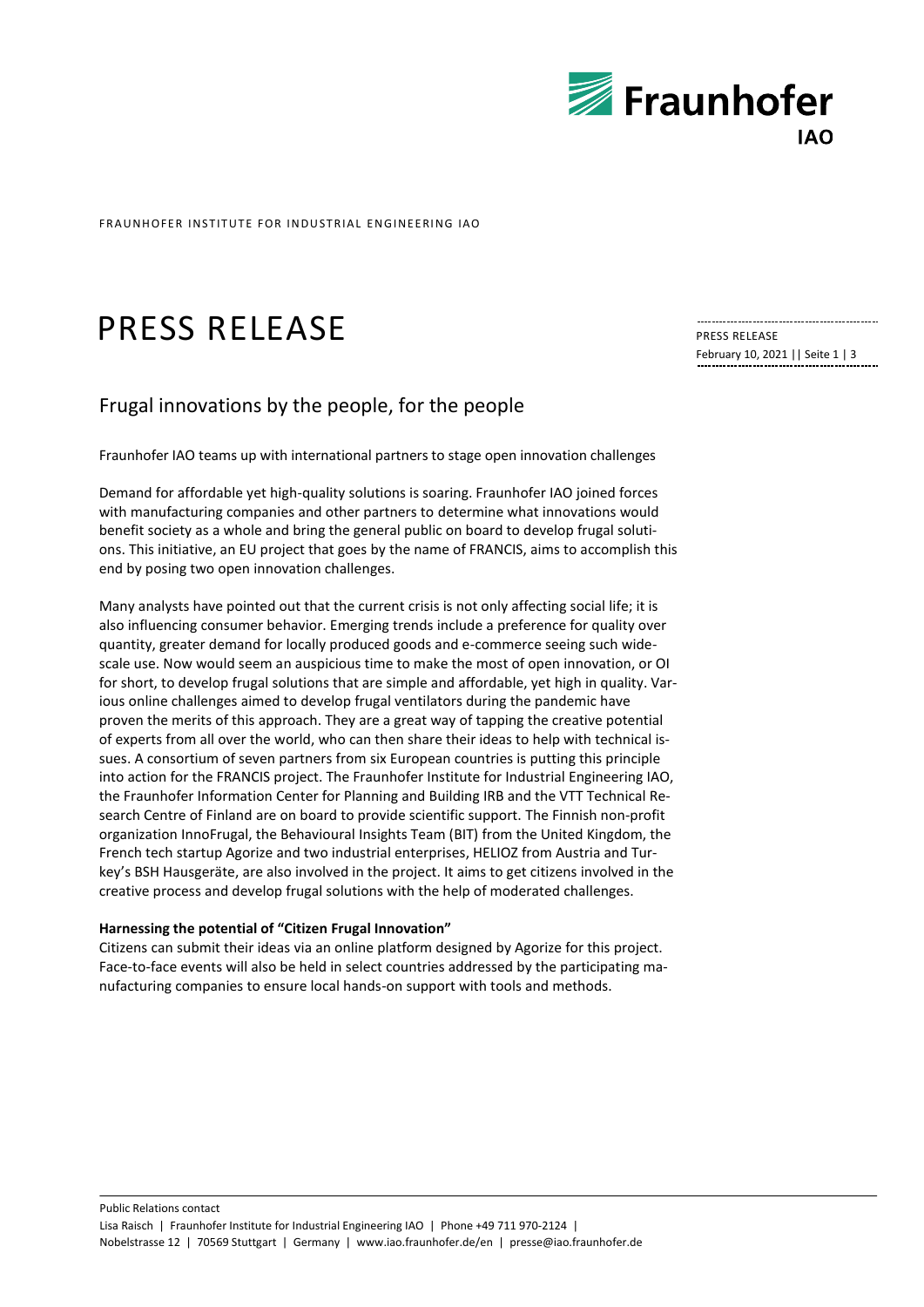

FRAUNHOFFR INSTITUTE FOR INDUSTRIAL ENGINEFRING IAO

# PRESS RELEASE

# Frugal innovations by the people, for the people

Fraunhofer IAO teams up with international partners to stage open innovation challenges

Demand for affordable yet high-quality solutions is soaring. Fraunhofer IAO joined forces with manufacturing companies and other partners to determine what innovations would benefit society as a whole and bring the general public on board to develop frugal solutions. This initiative, an EU project that goes by the name of FRANCIS, aims to accomplish this end by posing two open innovation challenges.

Many analysts have pointed out that the current crisis is not only affecting social life; it is also influencing consumer behavior. Emerging trends include a preference for quality over quantity, greater demand for locally produced goods and e-commerce seeing such widescale use. Now would seem an auspicious time to make the most of open innovation, or OI for short, to develop frugal solutions that are simple and affordable, yet high in quality. Various online challenges aimed to develop frugal ventilators during the pandemic have proven the merits of this approach. They are a great way of tapping the creative potential of experts from all over the world, who can then share their ideas to help with technical issues. A consortium of seven partners from six European countries is putting this principle into action for the FRANCIS project. The Fraunhofer Institute for Industrial Engineering IAO, the Fraunhofer Information Center for Planning and Building IRB and the VTT Technical Research Centre of Finland are on board to provide scientific support. The Finnish non-profit organization InnoFrugal, the Behavioural Insights Team (BIT) from the United Kingdom, the French tech startup Agorize and two industrial enterprises, HELIOZ from Austria and Turkey's BSH Hausgeräte, are also involved in the project. It aims to get citizens involved in the creative process and develop frugal solutions with the help of moderated challenges.

## **Harnessing the potential of "Citizen Frugal Innovation"**

Citizens can submit their ideas via an online platform designed by Agorize for this project. Face-to-face events will also be held in select countries addressed by the participating manufacturing companies to ensure local hands-on support with tools and methods.

PRESS RELEASE February 10, 2021 || Seite 1 | 3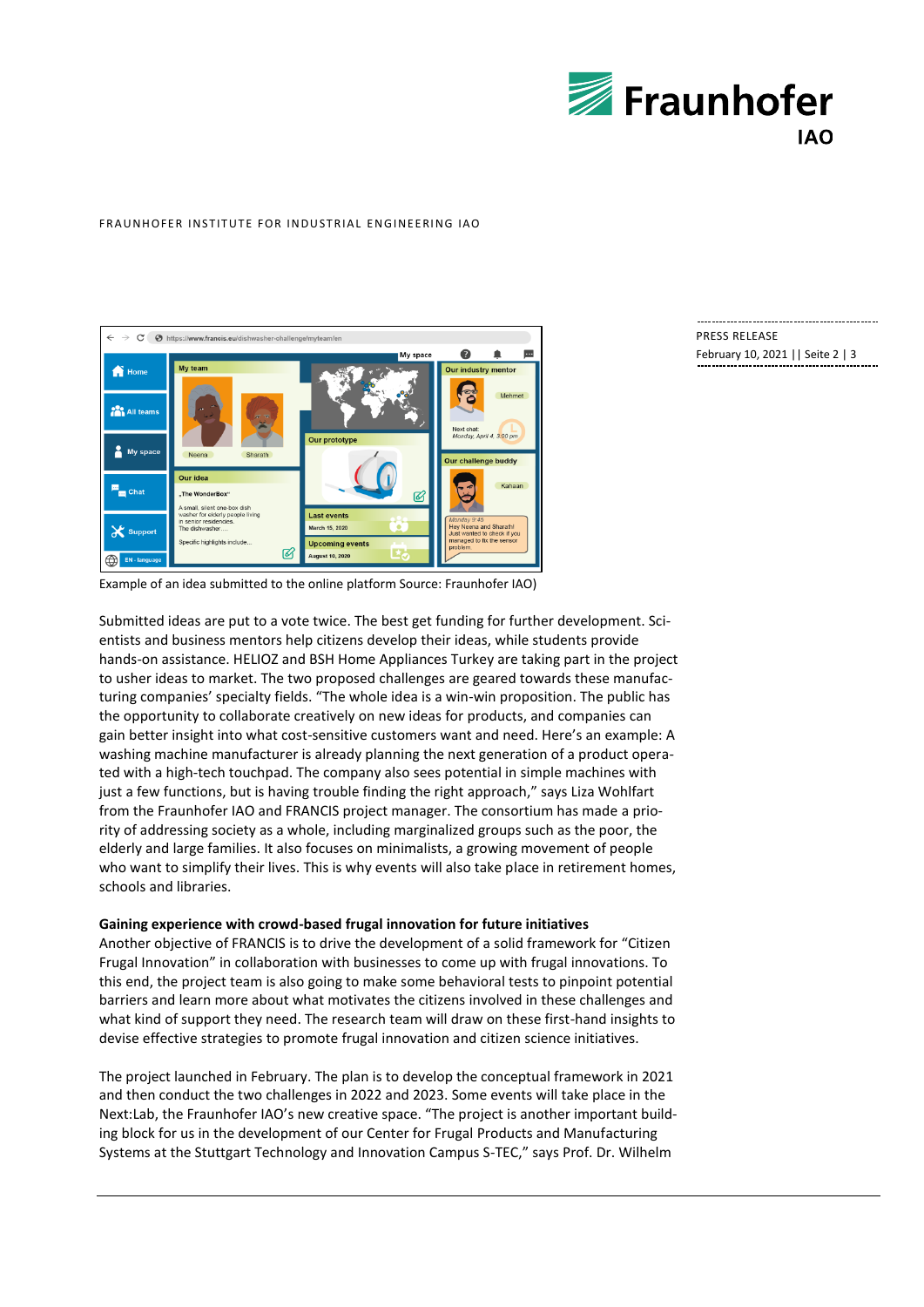

#### FRAUNHOFFR INSTITUTE FOR INDUSTRIAL ENGINEFRING IAO



# PRESS RELEASE

February 10, 2021 || Seite 2 | 3

Example of an idea submitted to the online platform Source: Fraunhofer IAO)

Submitted ideas are put to a vote twice. The best get funding for further development. Scientists and business mentors help citizens develop their ideas, while students provide hands-on assistance. HELIOZ and BSH Home Appliances Turkey are taking part in the project to usher ideas to market. The two proposed challenges are geared towards these manufacturing companies' specialty fields. "The whole idea is a win-win proposition. The public has the opportunity to collaborate creatively on new ideas for products, and companies can gain better insight into what cost-sensitive customers want and need. Here's an example: A washing machine manufacturer is already planning the next generation of a product operated with a high-tech touchpad. The company also sees potential in simple machines with just a few functions, but is having trouble finding the right approach," says Liza Wohlfart from the Fraunhofer IAO and FRANCIS project manager. The consortium has made a priority of addressing society as a whole, including marginalized groups such as the poor, the elderly and large families. It also focuses on minimalists, a growing movement of people who want to simplify their lives. This is why events will also take place in retirement homes, schools and libraries.

## **Gaining experience with crowd-based frugal innovation for future initiatives**

Another objective of FRANCIS is to drive the development of a solid framework for "Citizen Frugal Innovation" in collaboration with businesses to come up with frugal innovations. To this end, the project team is also going to make some behavioral tests to pinpoint potential barriers and learn more about what motivates the citizens involved in these challenges and what kind of support they need. The research team will draw on these first-hand insights to devise effective strategies to promote frugal innovation and citizen science initiatives.

The project launched in February. The plan is to develop the conceptual framework in 2021 and then conduct the two challenges in 2022 and 2023. Some events will take place in the Next:Lab, the Fraunhofer IAO's new creative space. "The project is another important building block for us in the development of our Center for Frugal Products and Manufacturing Systems at the Stuttgart Technology and Innovation Campus S-TEC," says Prof. Dr. Wilhelm